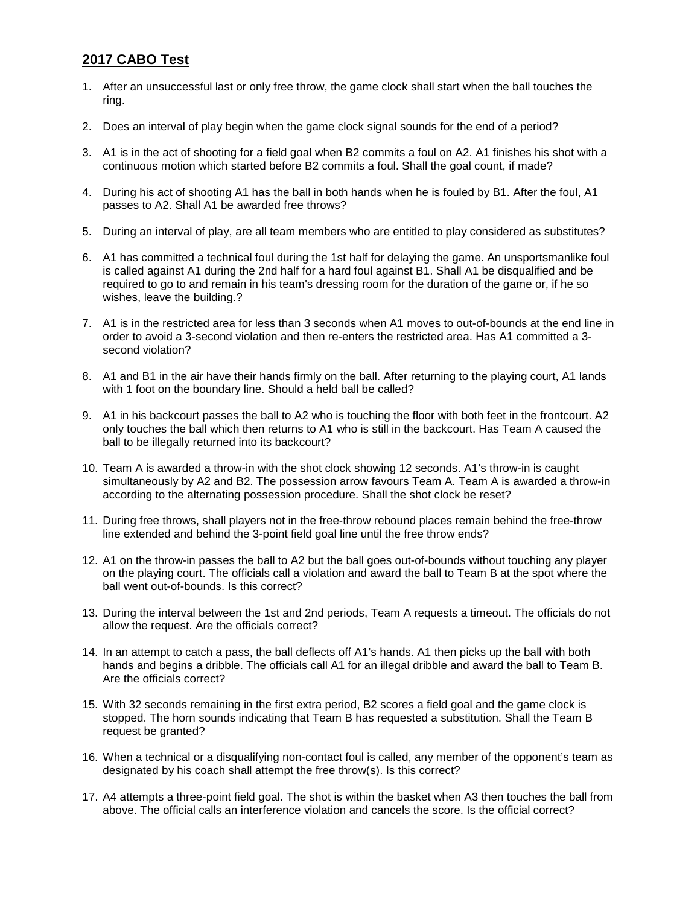## **2017 CABO Test**

- 1. After an unsuccessful last or only free throw, the game clock shall start when the ball touches the ring.
- 2. Does an interval of play begin when the game clock signal sounds for the end of a period?
- 3. A1 is in the act of shooting for a field goal when B2 commits a foul on A2. A1 finishes his shot with a continuous motion which started before B2 commits a foul. Shall the goal count, if made?
- 4. During his act of shooting A1 has the ball in both hands when he is fouled by B1. After the foul, A1 passes to A2. Shall A1 be awarded free throws?
- 5. During an interval of play, are all team members who are entitled to play considered as substitutes?
- 6. A1 has committed a technical foul during the 1st half for delaying the game. An unsportsmanlike foul is called against A1 during the 2nd half for a hard foul against B1. Shall A1 be disqualified and be required to go to and remain in his team's dressing room for the duration of the game or, if he so wishes, leave the building.?
- 7. A1 is in the restricted area for less than 3 seconds when A1 moves to out-of-bounds at the end line in order to avoid a 3-second violation and then re-enters the restricted area. Has A1 committed a 3 second violation?
- 8. A1 and B1 in the air have their hands firmly on the ball. After returning to the playing court, A1 lands with 1 foot on the boundary line. Should a held ball be called?
- 9. A1 in his backcourt passes the ball to A2 who is touching the floor with both feet in the frontcourt. A2 only touches the ball which then returns to A1 who is still in the backcourt. Has Team A caused the ball to be illegally returned into its backcourt?
- 10. Team A is awarded a throw-in with the shot clock showing 12 seconds. A1's throw-in is caught simultaneously by A2 and B2. The possession arrow favours Team A. Team A is awarded a throw-in according to the alternating possession procedure. Shall the shot clock be reset?
- 11. During free throws, shall players not in the free-throw rebound places remain behind the free-throw line extended and behind the 3-point field goal line until the free throw ends?
- 12. A1 on the throw-in passes the ball to A2 but the ball goes out-of-bounds without touching any player on the playing court. The officials call a violation and award the ball to Team B at the spot where the ball went out-of-bounds. Is this correct?
- 13. During the interval between the 1st and 2nd periods, Team A requests a timeout. The officials do not allow the request. Are the officials correct?
- 14. In an attempt to catch a pass, the ball deflects off A1's hands. A1 then picks up the ball with both hands and begins a dribble. The officials call A1 for an illegal dribble and award the ball to Team B. Are the officials correct?
- 15. With 32 seconds remaining in the first extra period, B2 scores a field goal and the game clock is stopped. The horn sounds indicating that Team B has requested a substitution. Shall the Team B request be granted?
- 16. When a technical or a disqualifying non-contact foul is called, any member of the opponent's team as designated by his coach shall attempt the free throw(s). Is this correct?
- 17. A4 attempts a three-point field goal. The shot is within the basket when A3 then touches the ball from above. The official calls an interference violation and cancels the score. Is the official correct?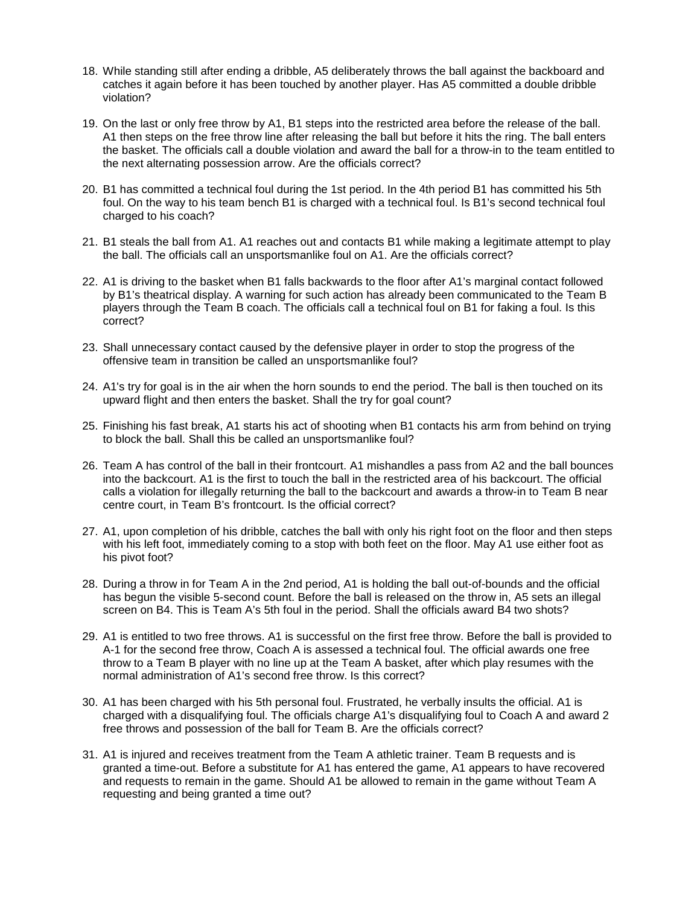- 18. While standing still after ending a dribble, A5 deliberately throws the ball against the backboard and catches it again before it has been touched by another player. Has A5 committed a double dribble violation?
- 19. On the last or only free throw by A1, B1 steps into the restricted area before the release of the ball. A1 then steps on the free throw line after releasing the ball but before it hits the ring. The ball enters the basket. The officials call a double violation and award the ball for a throw-in to the team entitled to the next alternating possession arrow. Are the officials correct?
- 20. B1 has committed a technical foul during the 1st period. In the 4th period B1 has committed his 5th foul. On the way to his team bench B1 is charged with a technical foul. Is B1's second technical foul charged to his coach?
- 21. B1 steals the ball from A1. A1 reaches out and contacts B1 while making a legitimate attempt to play the ball. The officials call an unsportsmanlike foul on A1. Are the officials correct?
- 22. A1 is driving to the basket when B1 falls backwards to the floor after A1's marginal contact followed by B1's theatrical display. A warning for such action has already been communicated to the Team B players through the Team B coach. The officials call a technical foul on B1 for faking a foul. Is this correct?
- 23. Shall unnecessary contact caused by the defensive player in order to stop the progress of the offensive team in transition be called an unsportsmanlike foul?
- 24. A1's try for goal is in the air when the horn sounds to end the period. The ball is then touched on its upward flight and then enters the basket. Shall the try for goal count?
- 25. Finishing his fast break, A1 starts his act of shooting when B1 contacts his arm from behind on trying to block the ball. Shall this be called an unsportsmanlike foul?
- 26. Team A has control of the ball in their frontcourt. A1 mishandles a pass from A2 and the ball bounces into the backcourt. A1 is the first to touch the ball in the restricted area of his backcourt. The official calls a violation for illegally returning the ball to the backcourt and awards a throw-in to Team B near centre court, in Team B's frontcourt. Is the official correct?
- 27. A1, upon completion of his dribble, catches the ball with only his right foot on the floor and then steps with his left foot, immediately coming to a stop with both feet on the floor. May A1 use either foot as his pivot foot?
- 28. During a throw in for Team A in the 2nd period, A1 is holding the ball out-of-bounds and the official has begun the visible 5-second count. Before the ball is released on the throw in, A5 sets an illegal screen on B4. This is Team A's 5th foul in the period. Shall the officials award B4 two shots?
- 29. A1 is entitled to two free throws. A1 is successful on the first free throw. Before the ball is provided to A-1 for the second free throw, Coach A is assessed a technical foul. The official awards one free throw to a Team B player with no line up at the Team A basket, after which play resumes with the normal administration of A1's second free throw. Is this correct?
- 30. A1 has been charged with his 5th personal foul. Frustrated, he verbally insults the official. A1 is charged with a disqualifying foul. The officials charge A1's disqualifying foul to Coach A and award 2 free throws and possession of the ball for Team B. Are the officials correct?
- 31. A1 is injured and receives treatment from the Team A athletic trainer. Team B requests and is granted a time-out. Before a substitute for A1 has entered the game, A1 appears to have recovered and requests to remain in the game. Should A1 be allowed to remain in the game without Team A requesting and being granted a time out?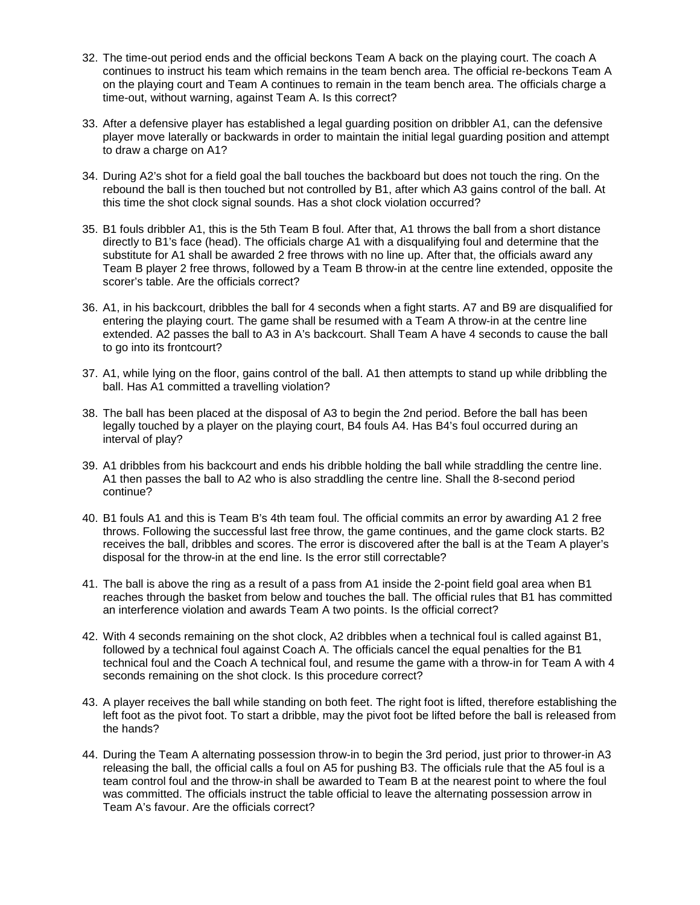- 32. The time-out period ends and the official beckons Team A back on the playing court. The coach A continues to instruct his team which remains in the team bench area. The official re-beckons Team A on the playing court and Team A continues to remain in the team bench area. The officials charge a time-out, without warning, against Team A. Is this correct?
- 33. After a defensive player has established a legal guarding position on dribbler A1, can the defensive player move laterally or backwards in order to maintain the initial legal guarding position and attempt to draw a charge on A1?
- 34. During A2's shot for a field goal the ball touches the backboard but does not touch the ring. On the rebound the ball is then touched but not controlled by B1, after which A3 gains control of the ball. At this time the shot clock signal sounds. Has a shot clock violation occurred?
- 35. B1 fouls dribbler A1, this is the 5th Team B foul. After that, A1 throws the ball from a short distance directly to B1's face (head). The officials charge A1 with a disqualifying foul and determine that the substitute for A1 shall be awarded 2 free throws with no line up. After that, the officials award any Team B player 2 free throws, followed by a Team B throw-in at the centre line extended, opposite the scorer's table. Are the officials correct?
- 36. A1, in his backcourt, dribbles the ball for 4 seconds when a fight starts. A7 and B9 are disqualified for entering the playing court. The game shall be resumed with a Team A throw-in at the centre line extended. A2 passes the ball to A3 in A's backcourt. Shall Team A have 4 seconds to cause the ball to go into its frontcourt?
- 37. A1, while lying on the floor, gains control of the ball. A1 then attempts to stand up while dribbling the ball. Has A1 committed a travelling violation?
- 38. The ball has been placed at the disposal of A3 to begin the 2nd period. Before the ball has been legally touched by a player on the playing court, B4 fouls A4. Has B4's foul occurred during an interval of play?
- 39. A1 dribbles from his backcourt and ends his dribble holding the ball while straddling the centre line. A1 then passes the ball to A2 who is also straddling the centre line. Shall the 8-second period continue?
- 40. B1 fouls A1 and this is Team B's 4th team foul. The official commits an error by awarding A1 2 free throws. Following the successful last free throw, the game continues, and the game clock starts. B2 receives the ball, dribbles and scores. The error is discovered after the ball is at the Team A player's disposal for the throw-in at the end line. Is the error still correctable?
- 41. The ball is above the ring as a result of a pass from A1 inside the 2-point field goal area when B1 reaches through the basket from below and touches the ball. The official rules that B1 has committed an interference violation and awards Team A two points. Is the official correct?
- 42. With 4 seconds remaining on the shot clock, A2 dribbles when a technical foul is called against B1, followed by a technical foul against Coach A. The officials cancel the equal penalties for the B1 technical foul and the Coach A technical foul, and resume the game with a throw-in for Team A with 4 seconds remaining on the shot clock. Is this procedure correct?
- 43. A player receives the ball while standing on both feet. The right foot is lifted, therefore establishing the left foot as the pivot foot. To start a dribble, may the pivot foot be lifted before the ball is released from the hands?
- 44. During the Team A alternating possession throw-in to begin the 3rd period, just prior to thrower-in A3 releasing the ball, the official calls a foul on A5 for pushing B3. The officials rule that the A5 foul is a team control foul and the throw-in shall be awarded to Team B at the nearest point to where the foul was committed. The officials instruct the table official to leave the alternating possession arrow in Team A's favour. Are the officials correct?